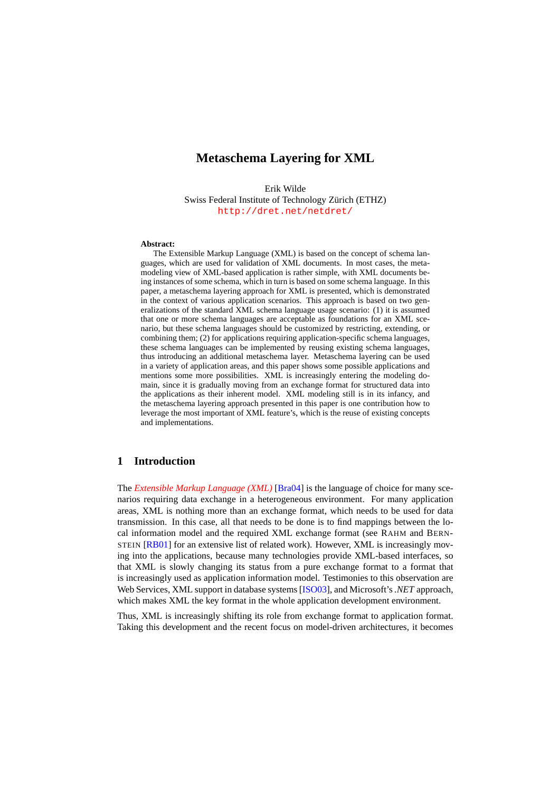# **Metaschema Layering for XML**

Erik Wilde Swiss Federal Institute of Technology Zürich (ETHZ) <http://dret.net/netdret/>

#### **Abstract:**

The Extensible Markup Language (XML) is based on the concept of schema languages, which are used for validation of XML documents. In most cases, the metamodeling view of XML-based application is rather simple, with XML documents being instances of some schema, which in turn is based on some schema language. In this paper, a metaschema layering approach for XML is presented, which is demonstrated in the context of various application scenarios. This approach is based on two generalizations of the standard XML schema language usage scenario: (1) it is assumed that one or more schema languages are acceptable as foundations for an XML scenario, but these schema languages should be customized by restricting, extending, or combining them; (2) for applications requiring application-specific schema languages, these schema languages can be implemented by reusing existing schema languages, thus introducing an additional metaschema layer. Metaschema layering can be used in a variety of application areas, and this paper shows some possible applications and mentions some more possibilities. XML is increasingly entering the modeling domain, since it is gradually moving from an exchange format for structured data into the applications as their inherent model. XML modeling still is in its infancy, and the metaschema layering approach presented in this paper is one contribution how to leverage the most important of XML feature's, which is the reuse of existing concepts and implementations.

### **1 Introduction**

The *[Extensible Markup Language \(XML\)](http://dret.net/glossary/xml)* [\[Bra04\]](#page-13-0) is the language of choice for many scenarios requiring data exchange in a heterogeneous environment. For many application areas, XML is nothing more than an exchange format, which needs to be used for data transmission. In this case, all that needs to be done is to find mappings between the local information model and the required XML exchange format (see RAHM and BERN-STEIN [\[RB01\]](#page-14-0) for an extensive list of related work). However, XML is increasingly moving into the applications, because many technologies provide XML-based interfaces, so that XML is slowly changing its status from a pure exchange format to a format that is increasingly used as application information model. Testimonies to this observation are Web Services, XML support in database systems [\[ISO03\]](#page-13-0), and Microsoft's*.NET* approach, which makes XML the key format in the whole application development environment.

Thus, XML is increasingly shifting its role from exchange format to application format. Taking this development and the recent focus on model-driven architectures, it becomes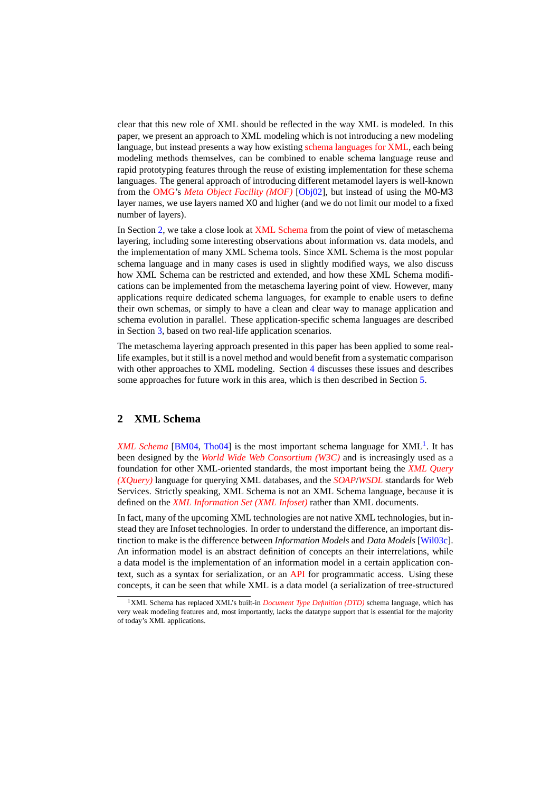clear that this new role of XML should be reflected in the way XML is modeled. In this paper, we present an approach to XML modeling which is not introducing a new modeling language, but instead presents a way how existing [schema languages for XML,](http://dret.net/glossary/xmlschemalanguage) each being modeling methods themselves, can be combined to enable schema language reuse and rapid prototyping features through the reuse of existing implementation for these schema languages. The general approach of introducing different metamodel layers is well-known from the [OMG'](http://dret.net/glossary/omg)s *[Meta Object Facility \(MOF\)](http://dret.net/glossary/mof)* [\[Obj02\]](#page-14-0), but instead of using the M0-M3 layer names, we use layers named X0 and higher (and we do not limit our model to a fixed number of layers).

In Section 2, we take a close look at [XML Schema](http://dret.net/glossary/xmlschema) from the point of view of metaschema layering, including some interesting observations about information vs. data models, and the implementation of many XML Schema tools. Since XML Schema is the most popular schema language and in many cases is used in slightly modified ways, we also discuss how XML Schema can be restricted and extended, and how these XML Schema modifications can be implemented from the metaschema layering point of view. However, many applications require dedicated schema languages, for example to enable users to define their own schemas, or simply to have a clean and clear way to manage application and schema evolution in parallel. These application-specific schema languages are described in Section [3,](#page-7-0) based on two real-life application scenarios.

The metaschema layering approach presented in this paper has been applied to some reallife examples, but it still is a novel method and would benefit from a systematic comparison with other approaches to XML modeling. Section [4](#page-11-0) discusses these issues and describes some approaches for future work in this area, which is then described in Section [5.](#page-11-0)

### **2 XML Schema**

[XML Schema](http://dret.net/glossary/xmlschema) [\[BM04,](#page-13-0) [Tho04\]](#page-14-0) is the most important schema language for XML<sup>1</sup>. It has been designed by the *[World Wide Web Consortium \(W3C\)](http://dret.net/glossary/w3c)* and is increasingly used as a foundation for other XML-oriented standards, the most important being the *[XML Query](http://dret.net/glossary/xquery) [\(XQuery\)](http://dret.net/glossary/xquery)* language for querying XML databases, and the *[SOAP](http://dret.net/glossary/soap)*/*[WSDL](http://dret.net/glossary/wsdl)* standards for Web Services. Strictly speaking, XML Schema is not an XML Schema language, because it is defined on the *[XML Information Set \(XML Infoset\)](http://dret.net/glossary/xmlinfoset)* rather than XML documents.

In fact, many of the upcoming XML technologies are not native XML technologies, but instead they are Infoset technologies. In order to understand the difference, an important distinction to make is the difference between *Information Models* and *Data Models* [\[Wil03c\]](#page-14-0). An information model is an abstract definition of concepts an their interrelations, while a data model is the implementation of an information model in a certain application context, such as a syntax for serialization, or an [API](http://dret.net/glossary/api) for programmatic access. Using these concepts, it can be seen that while XML is a data model (a serialization of tree-structured

<sup>1</sup>XML Schema has replaced XML's built-in *[Document Type Definition \(DTD\)](http://dret.net/glossary/dtd)* schema language, which has very weak modeling features and, most importantly, lacks the datatype support that is essential for the majority of today's XML applications.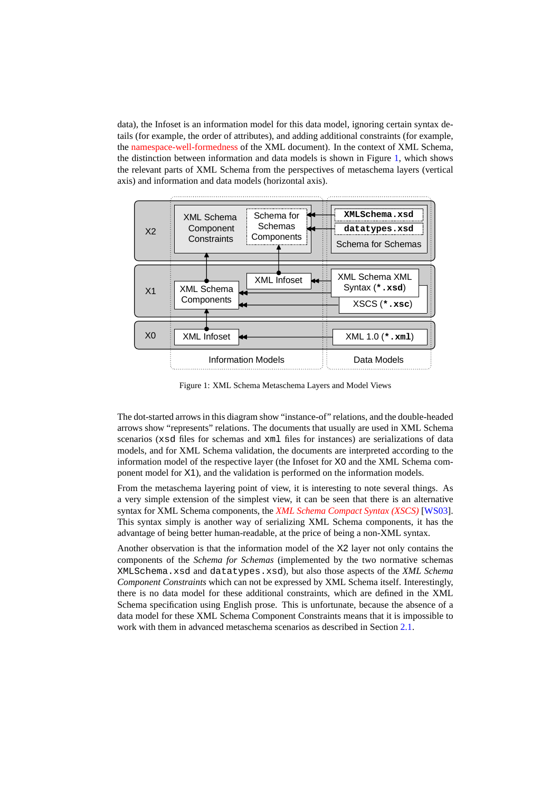<span id="page-2-0"></span>data), the Infoset is an information model for this data model, ignoring certain syntax details (for example, the order of attributes), and adding additional constraints (for example, the [namespace-well-formedness](http://www.w3.org/TR/xml-names11/#Conformance) of the XML document). In the context of XML Schema, the distinction between information and data models is shown in Figure 1, which shows the relevant parts of XML Schema from the perspectives of metaschema layers (vertical axis) and information and data models (horizontal axis).



Figure 1: XML Schema Metaschema Layers and Model Views

The dot-started arrows in this diagram show "instance-of" relations, and the double-headed arrows show "represents" relations. The documents that usually are used in XML Schema scenarios (xsd files for schemas and xml files for instances) are serializations of data models, and for XML Schema validation, the documents are interpreted according to the information model of the respective layer (the Infoset for X0 and the XML Schema component model for X1), and the validation is performed on the information models.

From the metaschema layering point of view, it is interesting to note several things. As a very simple extension of the simplest view, it can be seen that there is an alternative syntax for XML Schema components, the *[XML Schema Compact Syntax \(XSCS\)](http://dret.net/glossary/xscs)* [\[WS03\]](#page-14-0). This syntax simply is another way of serializing XML Schema components, it has the advantage of being better human-readable, at the price of being a non-XML syntax.

Another observation is that the information model of the X2 layer not only contains the components of the *Schema for Schemas* (implemented by the two normative schemas XMLSchema.xsd and datatypes.xsd), but also those aspects of the *XML Schema Component Constraints* which can not be expressed by XML Schema itself. Interestingly, there is no data model for these additional constraints, which are defined in the XML Schema specification using English prose. This is unfortunate, because the absence of a data model for these XML Schema Component Constraints means that it is impossible to work with them in advanced metaschema scenarios as described in Section [2.1.](#page-3-0)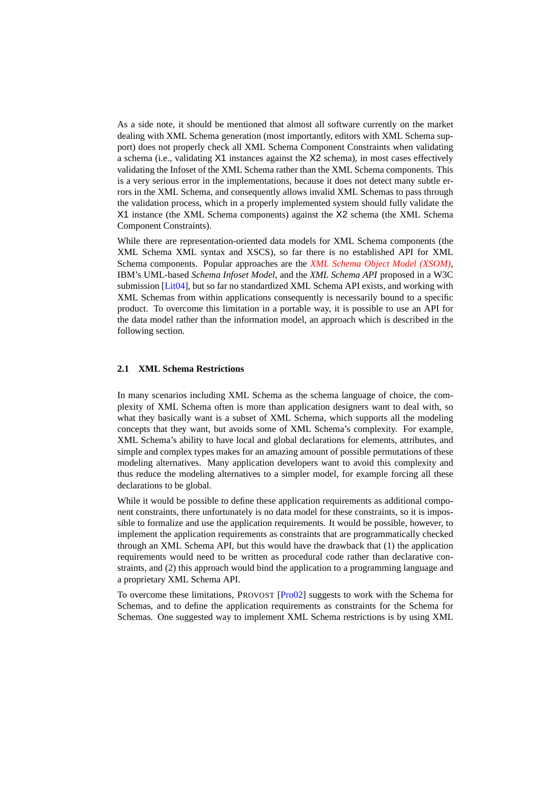<span id="page-3-0"></span>As a side note, it should be mentioned that almost all software currently on the market dealing with XML Schema generation (most importantly, editors with XML Schema support) does not properly check all XML Schema Component Constraints when validating a schema (i.e., validating X1 instances against the X2 schema), in most cases effectively validating the Infoset of the XML Schema rather than the XML Schema components. This is a very serious error in the implementations, because it does not detect many subtle errors in the XML Schema, and consequently allows invalid XML Schemas to pass through the validation process, which in a properly implemented system should fully validate the X1 instance (the XML Schema components) against the X2 schema (the XML Schema Component Constraints).

While there are representation-oriented data models for XML Schema components (the XML Schema XML syntax and XSCS), so far there is no established API for XML Schema components. Popular approaches are the *[XML Schema Object Model \(XSOM\)](http://dret.net/glossary/xsom)*, IBM's UML-based *Schema Infoset Model*, and the *XML Schema API* proposed in a W3C submission [\[Lit04\]](#page-14-0), but so far no standardized XML Schema API exists, and working with XML Schemas from within applications consequently is necessarily bound to a specific product. To overcome this limitation in a portable way, it is possible to use an API for the data model rather than the information model, an approach which is described in the following section.

#### **2.1 XML Schema Restrictions**

In many scenarios including XML Schema as the schema language of choice, the complexity of XML Schema often is more than application designers want to deal with, so what they basically want is a subset of XML Schema, which supports all the modeling concepts that they want, but avoids some of XML Schema's complexity. For example, XML Schema's ability to have local and global declarations for elements, attributes, and simple and complex types makes for an amazing amount of possible permutations of these modeling alternatives. Many application developers want to avoid this complexity and thus reduce the modeling alternatives to a simpler model, for example forcing all these declarations to be global.

While it would be possible to define these application requirements as additional component constraints, there unfortunately is no data model for these constraints, so it is impossible to formalize and use the application requirements. It would be possible, however, to implement the application requirements as constraints that are programmatically checked through an XML Schema API, but this would have the drawback that (1) the application requirements would need to be written as procedural code rather than declarative constraints, and (2) this approach would bind the application to a programming language and a proprietary XML Schema API.

To overcome these limitations, PROVOST [\[Pro02\]](#page-14-0) suggests to work with the Schema for Schemas, and to define the application requirements as constraints for the Schema for Schemas. One suggested way to implement XML Schema restrictions is by using XML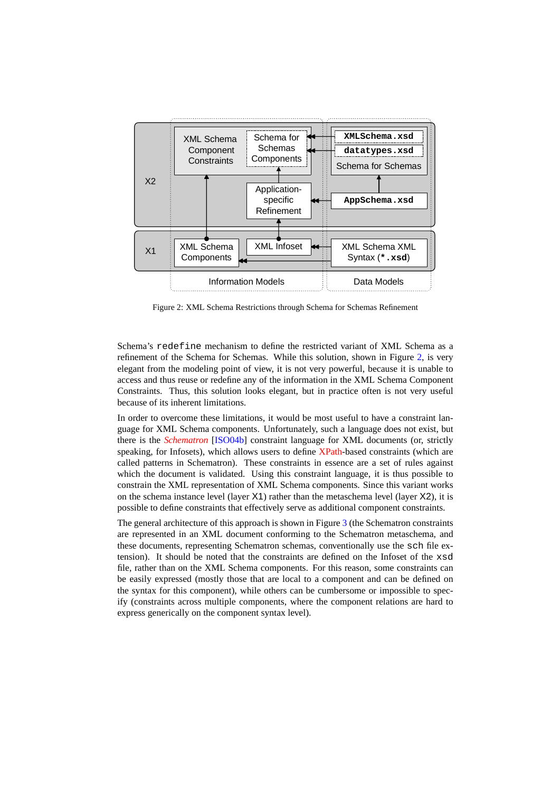<span id="page-4-0"></span>

Figure 2: XML Schema Restrictions through Schema for Schemas Refinement

Schema's redefine mechanism to define the restricted variant of XML Schema as a refinement of the Schema for Schemas. While this solution, shown in Figure 2, is very elegant from the modeling point of view, it is not very powerful, because it is unable to access and thus reuse or redefine any of the information in the XML Schema Component Constraints. Thus, this solution looks elegant, but in practice often is not very useful because of its inherent limitations.

In order to overcome these limitations, it would be most useful to have a constraint language for XML Schema components. Unfortunately, such a language does not exist, but there is the *[Schematron](http://dret.net/glossary/schematron)* [\[ISO04b\]](#page-14-0) constraint language for XML documents (or, strictly speaking, for Infosets), which allows users to define [XPath-](http://dret.net/glossary/xpath)based constraints (which are called patterns in Schematron). These constraints in essence are a set of rules against which the document is validated. Using this constraint language, it is thus possible to constrain the XML representation of XML Schema components. Since this variant works on the schema instance level (layer  $X1$ ) rather than the metaschema level (layer  $X2$ ), it is possible to define constraints that effectively serve as additional component constraints.

The general architecture of this approach is shown in Figure [3](#page-5-0) (the Schematron constraints are represented in an XML document conforming to the Schematron metaschema, and these documents, representing Schematron schemas, conventionally use the sch file extension). It should be noted that the constraints are defined on the Infoset of the xsd file, rather than on the XML Schema components. For this reason, some constraints can be easily expressed (mostly those that are local to a component and can be defined on the syntax for this component), while others can be cumbersome or impossible to specify (constraints across multiple components, where the component relations are hard to express generically on the component syntax level).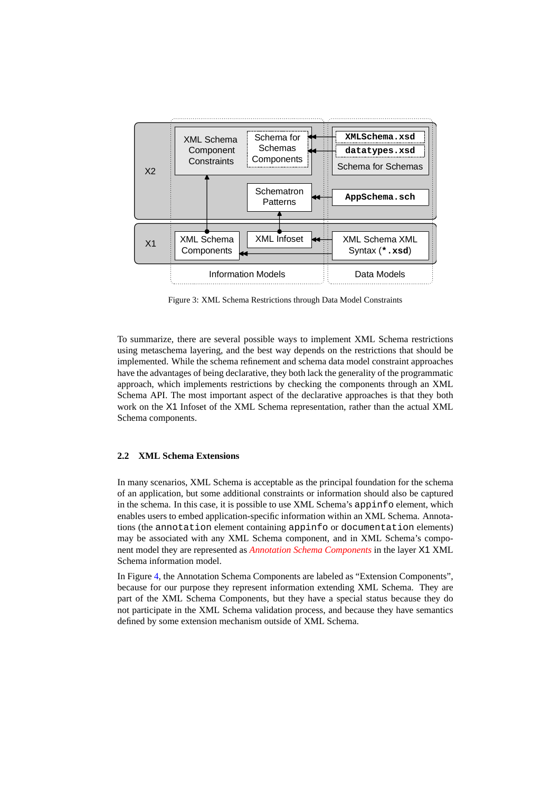<span id="page-5-0"></span>

Figure 3: XML Schema Restrictions through Data Model Constraints

To summarize, there are several possible ways to implement XML Schema restrictions using metaschema layering, and the best way depends on the restrictions that should be implemented. While the schema refinement and schema data model constraint approaches have the advantages of being declarative, they both lack the generality of the programmatic approach, which implements restrictions by checking the components through an XML Schema API. The most important aspect of the declarative approaches is that they both work on the X1 Infoset of the XML Schema representation, rather than the actual XML Schema components.

### **2.2 XML Schema Extensions**

In many scenarios, XML Schema is acceptable as the principal foundation for the schema of an application, but some additional constraints or information should also be captured in the schema. In this case, it is possible to use XML Schema's appinfo element, which enables users to embed application-specific information within an XML Schema. Annotations (the annotation element containing appinfo or documentation elements) may be associated with any XML Schema component, and in XML Schema's component model they are represented as *[Annotation Schema Components](http://www.w3.org/TR/2001/REC-xmlschema-1-20010502/#Annotation_details)* in the layer X1 XML Schema information model.

In Figure [4,](#page-6-0) the Annotation Schema Components are labeled as "Extension Components", because for our purpose they represent information extending XML Schema. They are part of the XML Schema Components, but they have a special status because they do not participate in the XML Schema validation process, and because they have semantics defined by some extension mechanism outside of XML Schema.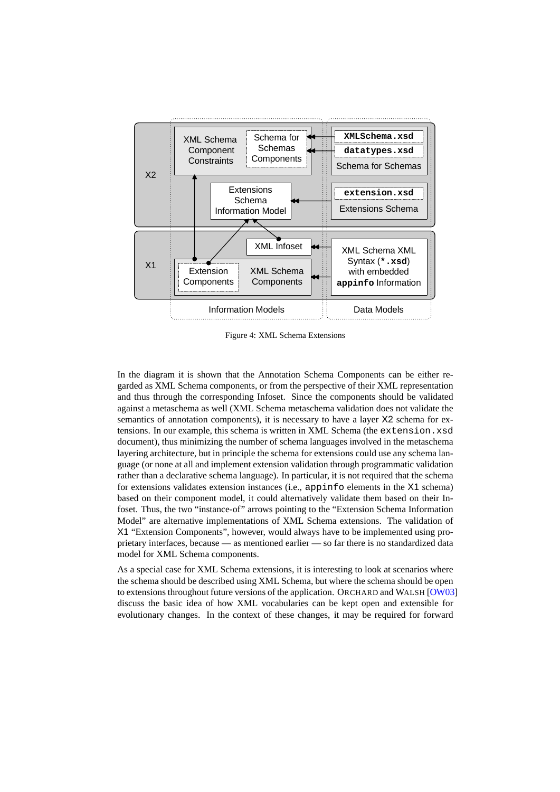<span id="page-6-0"></span>

Figure 4: XML Schema Extensions

In the diagram it is shown that the Annotation Schema Components can be either regarded as XML Schema components, or from the perspective of their XML representation and thus through the corresponding Infoset. Since the components should be validated against a metaschema as well (XML Schema metaschema validation does not validate the semantics of annotation components), it is necessary to have a layer X2 schema for extensions. In our example, this schema is written in XML Schema (the extension.xsd document), thus minimizing the number of schema languages involved in the metaschema layering architecture, but in principle the schema for extensions could use any schema language (or none at all and implement extension validation through programmatic validation rather than a declarative schema language). In particular, it is not required that the schema for extensions validates extension instances (i.e., appinfo elements in the X1 schema) based on their component model, it could alternatively validate them based on their Infoset. Thus, the two "instance-of" arrows pointing to the "Extension Schema Information Model" are alternative implementations of XML Schema extensions. The validation of X1 "Extension Components", however, would always have to be implemented using proprietary interfaces, because — as mentioned earlier — so far there is no standardized data model for XML Schema components.

As a special case for XML Schema extensions, it is interesting to look at scenarios where the schema should be described using XML Schema, but where the schema should be open to extensions throughout future versions of the application. ORCHARD and WALSH [\[OW03\]](#page-14-0) discuss the basic idea of how XML vocabularies can be kept open and extensible for evolutionary changes. In the context of these changes, it may be required for forward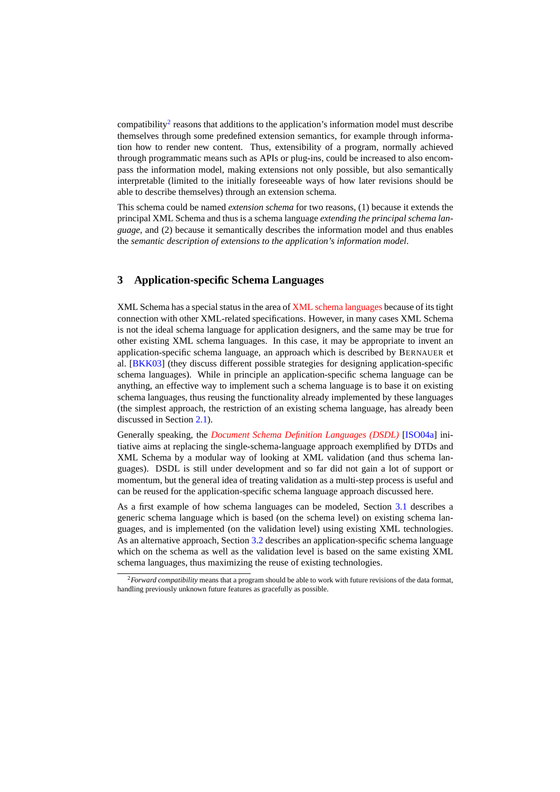<span id="page-7-0"></span>compatibility<sup>2</sup> reasons that additions to the application's information model must describe themselves through some predefined extension semantics, for example through information how to render new content. Thus, extensibility of a program, normally achieved through programmatic means such as APIs or plug-ins, could be increased to also encompass the information model, making extensions not only possible, but also semantically interpretable (limited to the initially foreseeable ways of how later revisions should be able to describe themselves) through an extension schema.

This schema could be named *extension schema* for two reasons, (1) because it extends the principal XML Schema and thus is a schema language *extending the principal schema language*, and (2) because it semantically describes the information model and thus enables the *semantic description of extensions to the application's information model*.

### **3 Application-specific Schema Languages**

XML Schema has a special status in the area of [XML schema languages](http://dret.net/glossary/xmlschemalanguage) because of its tight connection with other XML-related specifications. However, in many cases XML Schema is not the ideal schema language for application designers, and the same may be true for other existing XML schema languages. In this case, it may be appropriate to invent an application-specific schema language, an approach which is described by BERNAUER et al. [\[BKK03\]](#page-13-0) (they discuss different possible strategies for designing application-specific schema languages). While in principle an application-specific schema language can be anything, an effective way to implement such a schema language is to base it on existing schema languages, thus reusing the functionality already implemented by these languages (the simplest approach, the restriction of an existing schema language, has already been discussed in Section [2.1\)](#page-3-0).

Generally speaking, the *[Document Schema Definition Languages \(DSDL\)](http://dret.net/glossary/dsdl)* [\[ISO04a\]](#page-13-0) initiative aims at replacing the single-schema-language approach exemplified by DTDs and XML Schema by a modular way of looking at XML validation (and thus schema languages). DSDL is still under development and so far did not gain a lot of support or momentum, but the general idea of treating validation as a multi-step process is useful and can be reused for the application-specific schema language approach discussed here.

As a first example of how schema languages can be modeled, Section [3.1](#page-8-0) describes a generic schema language which is based (on the schema level) on existing schema languages, and is implemented (on the validation level) using existing XML technologies. As an alternative approach, Section [3.2](#page-9-0) describes an application-specific schema language which on the schema as well as the validation level is based on the same existing XML schema languages, thus maximizing the reuse of existing technologies.

<sup>2</sup>*Forward compatibility* means that a program should be able to work with future revisions of the data format, handling previously unknown future features as gracefully as possible.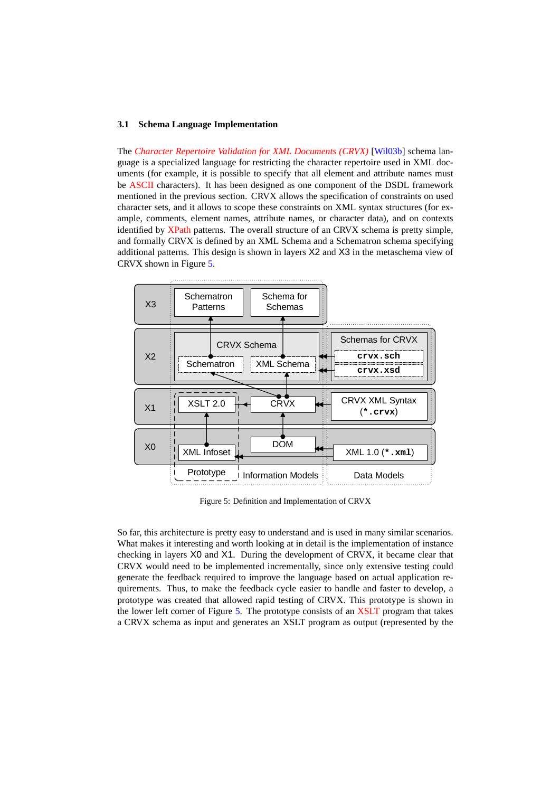#### <span id="page-8-0"></span>**3.1 Schema Language Implementation**

The *[Character Repertoire Validation for XML Documents \(CRVX\)](http://dret.net/glossary/crvx)* [\[Wil03b\]](#page-14-0) schema language is a specialized language for restricting the character repertoire used in XML documents (for example, it is possible to specify that all element and attribute names must be [ASCII](http://dret.net/glossary/ascii) characters). It has been designed as one component of the DSDL framework mentioned in the previous section. CRVX allows the specification of constraints on used character sets, and it allows to scope these constraints on XML syntax structures (for example, comments, element names, attribute names, or character data), and on contexts identified by [XPath](http://dret.net/glossary/xpath) patterns. The overall structure of an CRVX schema is pretty simple, and formally CRVX is defined by an XML Schema and a Schematron schema specifying additional patterns. This design is shown in layers X2 and X3 in the metaschema view of CRVX shown in Figure 5.



Figure 5: Definition and Implementation of CRVX

So far, this architecture is pretty easy to understand and is used in many similar scenarios. What makes it interesting and worth looking at in detail is the implementation of instance checking in layers X0 and X1. During the development of CRVX, it became clear that CRVX would need to be implemented incrementally, since only extensive testing could generate the feedback required to improve the language based on actual application requirements. Thus, to make the feedback cycle easier to handle and faster to develop, a prototype was created that allowed rapid testing of CRVX. This prototype is shown in the lower left corner of Figure 5. The prototype consists of an [XSLT](http://dret.net/glossary/xslt) program that takes a CRVX schema as input and generates an XSLT program as output (represented by the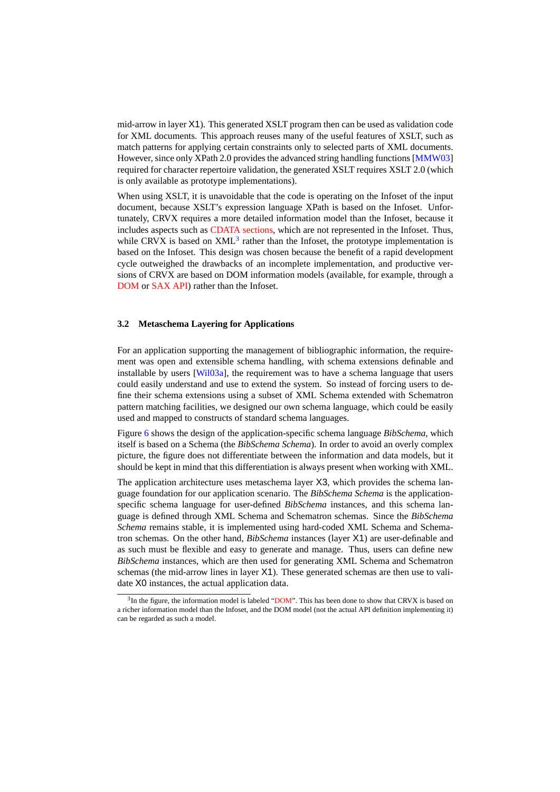<span id="page-9-0"></span>mid-arrow in layer X1). This generated XSLT program then can be used as validation code for XML documents. This approach reuses many of the useful features of XSLT, such as match patterns for applying certain constraints only to selected parts of XML documents. However, since only XPath 2.0 provides the advanced string handling functions [\[MMW03\]](#page-14-0) required for character repertoire validation, the generated XSLT requires XSLT 2.0 (which is only available as prototype implementations).

When using XSLT, it is unavoidable that the code is operating on the Infoset of the input document, because XSLT's expression language XPath is based on the Infoset. Unfortunately, CRVX requires a more detailed information model than the Infoset, because it includes aspects such as [CDATA sections,](http://www.w3.org/TR/REC-xml/#sec-cdata-sect) which are not represented in the Infoset. Thus, while CRVX is based on  $XML<sup>3</sup>$  rather than the Infoset, the prototype implementation is based on the Infoset. This design was chosen because the benefit of a rapid development cycle outweighed the drawbacks of an incomplete implementation, and productive versions of CRVX are based on DOM information models (available, for example, through a [DOM](http://dret.net/glossary/dom) or [SAX](http://dret.net/glossary/sax) [API\)](http://dret.net/glossary/api) rather than the Infoset.

#### **3.2 Metaschema Layering for Applications**

For an application supporting the management of bibliographic information, the requirement was open and extensible schema handling, with schema extensions definable and installable by users [\[Wil03a\]](#page-14-0), the requirement was to have a schema language that users could easily understand and use to extend the system. So instead of forcing users to define their schema extensions using a subset of XML Schema extended with Schematron pattern matching facilities, we designed our own schema language, which could be easily used and mapped to constructs of standard schema languages.

Figure [6](#page-10-0) shows the design of the application-specific schema language *BibSchema*, which itself is based on a Schema (the *BibSchema Schema*). In order to avoid an overly complex picture, the figure does not differentiate between the information and data models, but it should be kept in mind that this differentiation is always present when working with XML.

The application architecture uses metaschema layer X3, which provides the schema language foundation for our application scenario. The *BibSchema Schema* is the applicationspecific schema language for user-defined *BibSchema* instances, and this schema language is defined through XML Schema and Schematron schemas. Since the *BibSchema Schema* remains stable, it is implemented using hard-coded XML Schema and Schematron schemas. On the other hand, *BibSchema* instances (layer X1) are user-definable and as such must be flexible and easy to generate and manage. Thus, users can define new *BibSchema* instances, which are then used for generating XML Schema and Schematron schemas (the mid-arrow lines in layer X1). These generated schemas are then use to validate X0 instances, the actual application data.

<sup>&</sup>lt;sup>3</sup>In the figure, the information model is labeled ["DOM"](http://dret.net/glossary/dom). This has been done to show that CRVX is based on a richer information model than the Infoset, and the DOM model (not the actual API definition implementing it) can be regarded as such a model.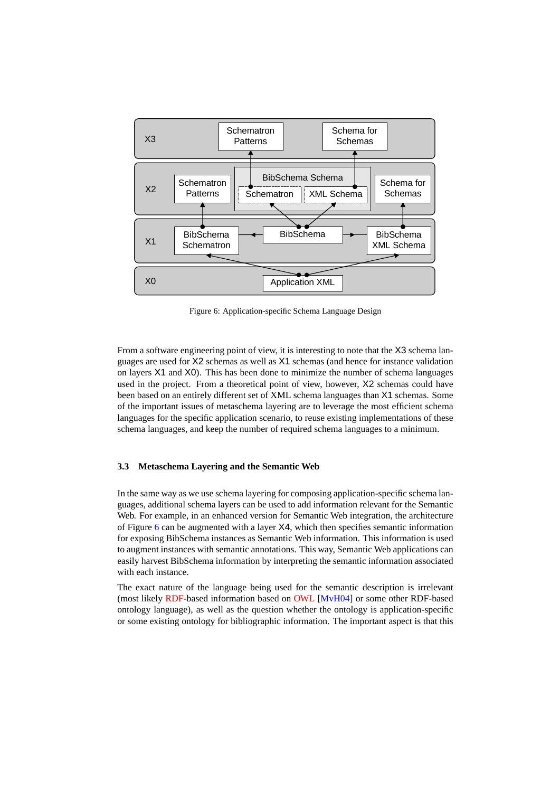<span id="page-10-0"></span>

Figure 6: Application-specific Schema Language Design

From a software engineering point of view, it is interesting to note that the X3 schema languages are used for X2 schemas as well as X1 schemas (and hence for instance validation on layers X1 and X0). This has been done to minimize the number of schema languages used in the project. From a theoretical point of view, however, X2 schemas could have been based on an entirely different set of XML schema languages than X1 schemas. Some of the important issues of metaschema layering are to leverage the most efficient schema languages for the specific application scenario, to reuse existing implementations of these schema languages, and keep the number of required schema languages to a minimum.

#### **3.3 Metaschema Layering and the Semantic Web**

In the same way as we use schema layering for composing application-specific schema languages, additional schema layers can be used to add information relevant for the Semantic Web. For example, in an enhanced version for Semantic Web integration, the architecture of Figure 6 can be augmented with a layer X4, which then specifies semantic information for exposing BibSchema instances as Semantic Web information. This information is used to augment instances with semantic annotations. This way, Semantic Web applications can easily harvest BibSchema information by interpreting the semantic information associated with each instance.

The exact nature of the language being used for the semantic description is irrelevant (most likely [RDF-](http://dret.net/glossary/rdf)based information based on [OWL](http://dret.net/glossary/owl) [\[MvH04\]](#page-14-0) or some other RDF-based ontology language), as well as the question whether the ontology is application-specific or some existing ontology for bibliographic information. The important aspect is that this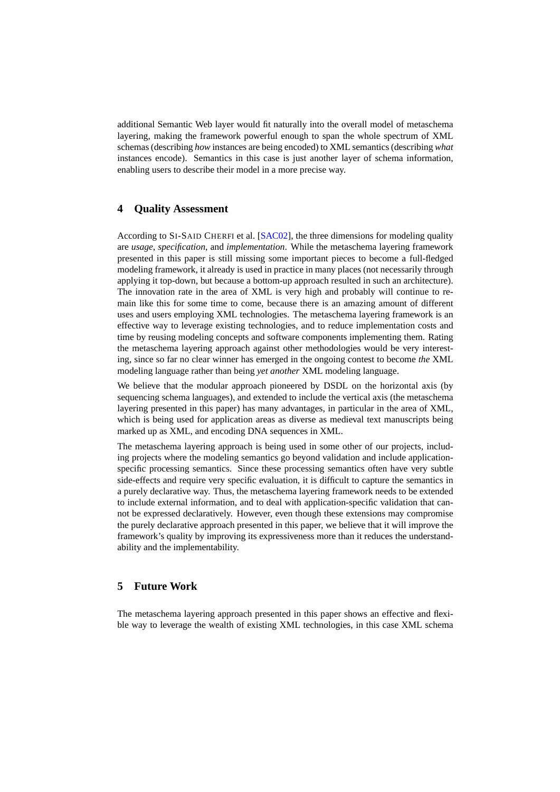<span id="page-11-0"></span>additional Semantic Web layer would fit naturally into the overall model of metaschema layering, making the framework powerful enough to span the whole spectrum of XML schemas (describing *how* instances are being encoded) to XML semantics (describing *what* instances encode). Semantics in this case is just another layer of schema information, enabling users to describe their model in a more precise way.

### **4 Quality Assessment**

According to SI-SAID CHERFI et al. [\[SAC02\]](#page-14-0), the three dimensions for modeling quality are *usage*, *specification*, and *implementation*. While the metaschema layering framework presented in this paper is still missing some important pieces to become a full-fledged modeling framework, it already is used in practice in many places (not necessarily through applying it top-down, but because a bottom-up approach resulted in such an architecture). The innovation rate in the area of XML is very high and probably will continue to remain like this for some time to come, because there is an amazing amount of different uses and users employing XML technologies. The metaschema layering framework is an effective way to leverage existing technologies, and to reduce implementation costs and time by reusing modeling concepts and software components implementing them. Rating the metaschema layering approach against other methodologies would be very interesting, since so far no clear winner has emerged in the ongoing contest to become *the* XML modeling language rather than being *yet another* XML modeling language.

We believe that the modular approach pioneered by DSDL on the horizontal axis (by sequencing schema languages), and extended to include the vertical axis (the metaschema layering presented in this paper) has many advantages, in particular in the area of XML, which is being used for application areas as diverse as medieval text manuscripts being marked up as XML, and encoding DNA sequences in XML.

The metaschema layering approach is being used in some other of our projects, including projects where the modeling semantics go beyond validation and include applicationspecific processing semantics. Since these processing semantics often have very subtle side-effects and require very specific evaluation, it is difficult to capture the semantics in a purely declarative way. Thus, the metaschema layering framework needs to be extended to include external information, and to deal with application-specific validation that cannot be expressed declaratively. However, even though these extensions may compromise the purely declarative approach presented in this paper, we believe that it will improve the framework's quality by improving its expressiveness more than it reduces the understandability and the implementability.

### **5 Future Work**

The metaschema layering approach presented in this paper shows an effective and flexible way to leverage the wealth of existing XML technologies, in this case XML schema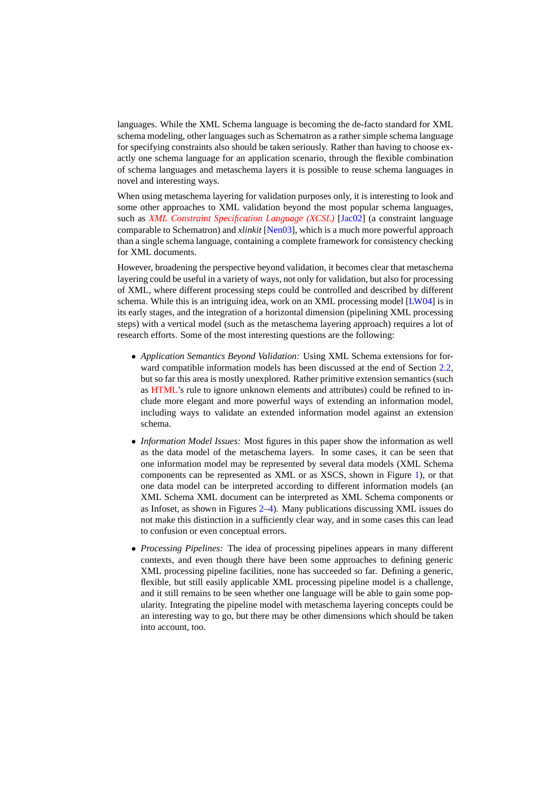languages. While the XML Schema language is becoming the de-facto standard for XML schema modeling, other languages such as Schematron as a rather simple schema language for specifying constraints also should be taken seriously. Rather than having to choose exactly one schema language for an application scenario, through the flexible combination of schema languages and metaschema layers it is possible to reuse schema languages in novel and interesting ways.

When using metaschema layering for validation purposes only, it is interesting to look and some other approaches to XML validation beyond the most popular schema languages, such as *[XML Constraint Specification Language \(XCSL\)](http://dret.net/glossary/xcsl)* [\[Jac02\]](#page-14-0) (a constraint language comparable to Schematron) and *xlinkit* [\[Nen03\]](#page-14-0), which is a much more powerful approach than a single schema language, containing a complete framework for consistency checking for XML documents.

However, broadening the perspective beyond validation, it becomes clear that metaschema layering could be useful in a variety of ways, not only for validation, but also for processing of XML, where different processing steps could be controlled and described by different schema. While this is an intriguing idea, work on an XML processing model [\[LW04\]](#page-14-0) is in its early stages, and the integration of a horizontal dimension (pipelining XML processing steps) with a vertical model (such as the metaschema layering approach) requires a lot of research efforts. Some of the most interesting questions are the following:

- *Application Semantics Beyond Validation:* Using XML Schema extensions for for-ward compatible information models has been discussed at the end of Section [2.2,](#page-5-0) but so far this area is mostly unexplored. Rather primitive extension semantics (such as [HTML'](http://dret.net/glossary/html)s rule to ignore unknown elements and attributes) could be refined to include more elegant and more powerful ways of extending an information model, including ways to validate an extended information model against an extension schema.
- *Information Model Issues:* Most figures in this paper show the information as well as the data model of the metaschema layers. In some cases, it can be seen that one information model may be represented by several data models (XML Schema components can be represented as XML or as XSCS, shown in Figure [1\)](#page-2-0), or that one data model can be interpreted according to different information models (an XML Schema XML document can be interpreted as XML Schema components or as Infoset, as shown in Figures [2](#page-4-0)[–4\)](#page-6-0). Many publications discussing XML issues do not make this distinction in a sufficiently clear way, and in some cases this can lead to confusion or even conceptual errors.
- *Processing Pipelines:* The idea of processing pipelines appears in many different contexts, and even though there have been some approaches to defining generic XML processing pipeline facilities, none has succeeded so far. Defining a generic, flexible, but still easily applicable XML processing pipeline model is a challenge, and it still remains to be seen whether one language will be able to gain some popularity. Integrating the pipeline model with metaschema layering concepts could be an interesting way to go, but there may be other dimensions which should be taken into account, too.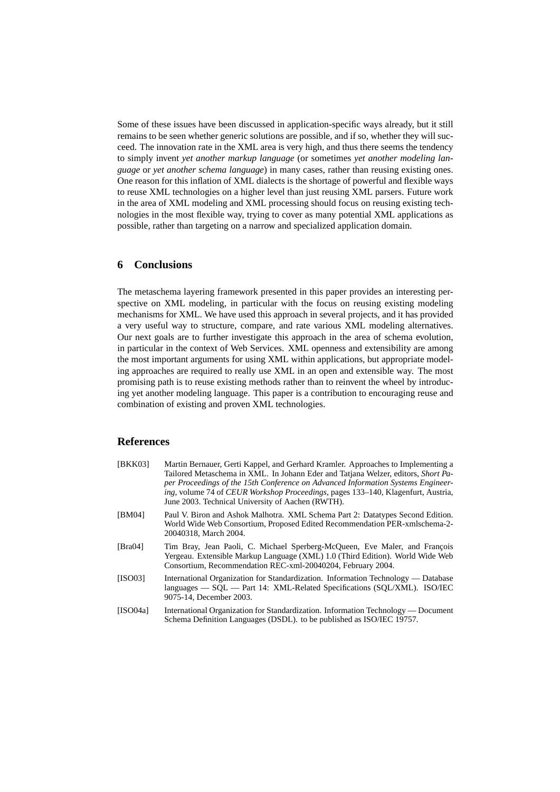<span id="page-13-0"></span>Some of these issues have been discussed in application-specific ways already, but it still remains to be seen whether generic solutions are possible, and if so, whether they will succeed. The innovation rate in the XML area is very high, and thus there seems the tendency to simply invent *yet another markup language* (or sometimes *yet another modeling language* or *yet another schema language*) in many cases, rather than reusing existing ones. One reason for this inflation of XML dialects is the shortage of powerful and flexible ways to reuse XML technologies on a higher level than just reusing XML parsers. Future work in the area of XML modeling and XML processing should focus on reusing existing technologies in the most flexible way, trying to cover as many potential XML applications as possible, rather than targeting on a narrow and specialized application domain.

## **6 Conclusions**

The metaschema layering framework presented in this paper provides an interesting perspective on XML modeling, in particular with the focus on reusing existing modeling mechanisms for XML. We have used this approach in several projects, and it has provided a very useful way to structure, compare, and rate various XML modeling alternatives. Our next goals are to further investigate this approach in the area of schema evolution, in particular in the context of Web Services. XML openness and extensibility are among the most important arguments for using XML within applications, but appropriate modeling approaches are required to really use XML in an open and extensible way. The most promising path is to reuse existing methods rather than to reinvent the wheel by introducing yet another modeling language. This paper is a contribution to encouraging reuse and combination of existing and proven XML technologies.

## **References**

| [BKK03]  | Martin Bernauer, Gerti Kappel, and Gerhard Kramler. Approaches to Implementing a<br>Tailored Metaschema in XML. In Johann Eder and Tatiana Welzer, editors, Short Pa-<br>per Proceedings of the 15th Conference on Advanced Information Systems Engineer-<br>ing, volume 74 of CEUR Workshop Proceedings, pages 133–140, Klagenfurt, Austria,<br>June 2003. Technical University of Aachen (RWTH). |
|----------|----------------------------------------------------------------------------------------------------------------------------------------------------------------------------------------------------------------------------------------------------------------------------------------------------------------------------------------------------------------------------------------------------|
| [BM04]   | Paul V. Biron and Ashok Malhotra. XML Schema Part 2: Datatypes Second Edition.<br>World Wide Web Consortium, Proposed Edited Recommendation PER-xmlschema-2-<br>20040318. March 2004.                                                                                                                                                                                                              |
| [Bra04]  | Tim Bray, Jean Paoli, C. Michael Sperberg-McQueen, Eve Maler, and François<br>Yergeau. Extensible Markup Language (XML) 1.0 (Third Edition). World Wide Web<br>Consortium, Recommendation REC-xml-20040204, February 2004.                                                                                                                                                                         |
| [ISO03]  | International Organization for Standardization. Information Technology — Database<br>$\alpha$ languages $\sim$ SOL $\sim$ Part 14: XML-Related Specifications (SOL/XML). ISO/IEC<br>9075-14, December 2003.                                                                                                                                                                                        |
| [ISO04a] | International Organization for Standardization. Information Technology — Document<br>Schema Definition Languages (DSDL), to be published as ISO/IEC 19757.                                                                                                                                                                                                                                         |